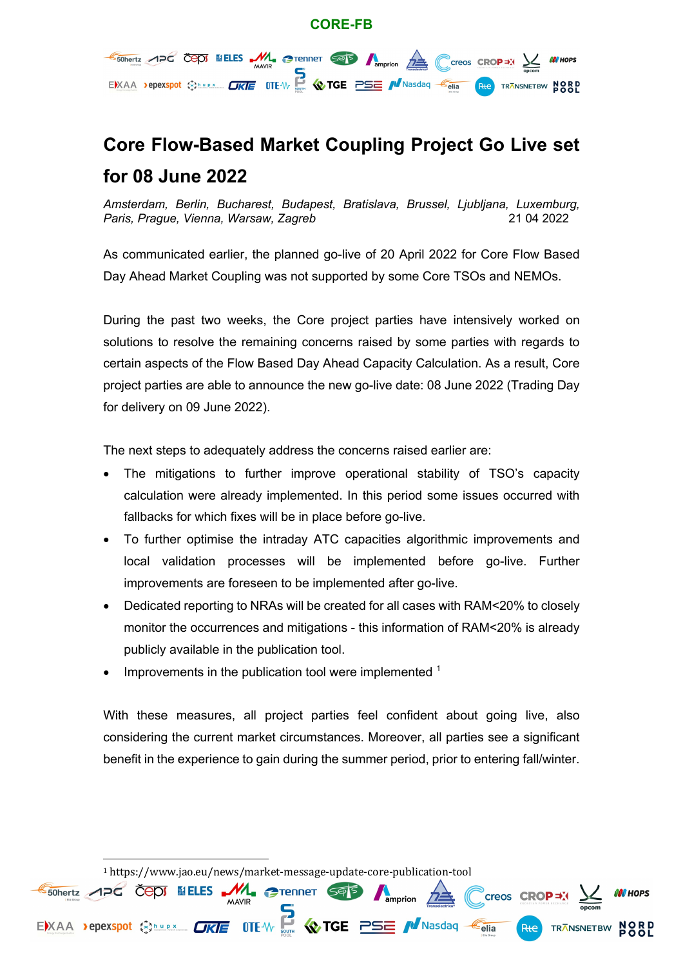#### **CORE-FB**



# **Core Flow-Based Market Coupling Project Go Live set for 08 June 2022**

*Amsterdam, Berlin, Bucharest, Budapest, Bratislava, Brussel, Ljubljana, Luxemburg, Paris, Prague, Vienna, Warsaw, Zagreb* 21 04 2022

As communicated earlier, the planned go-live of 20 April 2022 for Core Flow Based Day Ahead Market Coupling was not supported by some Core TSOs and NEMOs.

During the past two weeks, the Core project parties have intensively worked on solutions to resolve the remaining concerns raised by some parties with regards to certain aspects of the Flow Based Day Ahead Capacity Calculation. As a result, Core project parties are able to announce the new go-live date: 08 June 2022 (Trading Day for delivery on 09 June 2022).

The next steps to adequately address the concerns raised earlier are:

- The mitigations to further improve operational stability of TSO's capacity calculation were already implemented. In this period some issues occurred with fallbacks for which fixes will be in place before go-live.
- To further optimise the intraday ATC capacities algorithmic improvements and local validation processes will be implemented before go-live. Further improvements are foreseen to be implemented after go-live.
- Dedicated reporting to NRAs will be created for all cases with RAM<20% to closely monitor the occurrences and mitigations - this information of RAM<20% is already publicly available in the publication tool.
- Improvements in the publication tool were implemented <sup>1</sup>

With these measures, all project parties feel confident about going live, also considering the current market circumstances. Moreover, all parties see a significant benefit in the experience to gain during the summer period, prior to entering fall/winter.